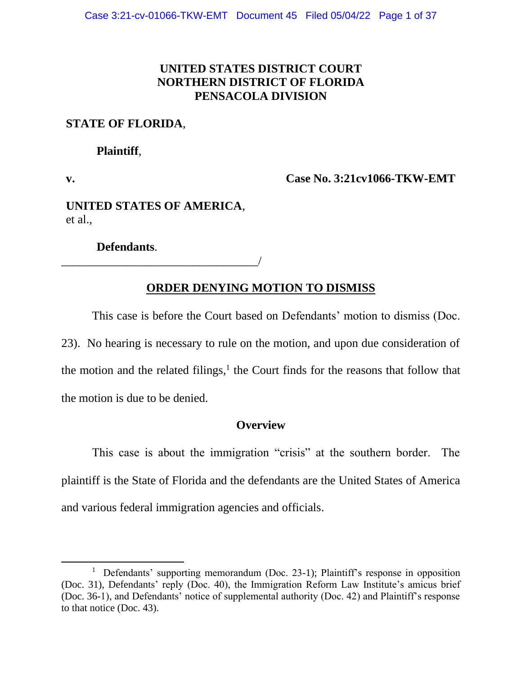# **UNITED STATES DISTRICT COURT NORTHERN DISTRICT OF FLORIDA PENSACOLA DIVISION**

## **STATE OF FLORIDA**,

**Plaintiff**,

**v.**

**Case No. 3:21cv1066-TKW-EMT**

**UNITED STATES OF AMERICA**, et al.,

**Defendants**.

\_\_\_\_\_\_\_\_\_\_\_\_\_\_\_\_\_\_\_\_\_\_\_\_\_\_\_\_\_\_\_\_\_/

# **ORDER DENYING MOTION TO DISMISS**

This case is before the Court based on Defendants' motion to dismiss (Doc. 23). No hearing is necessary to rule on the motion, and upon due consideration of the motion and the related filings, $<sup>1</sup>$  the Court finds for the reasons that follow that</sup> the motion is due to be denied.

## **Overview**

This case is about the immigration "crisis" at the southern border. The plaintiff is the State of Florida and the defendants are the United States of America and various federal immigration agencies and officials.

<sup>&</sup>lt;sup>1</sup> Defendants' supporting memorandum (Doc. 23-1); Plaintiff's response in opposition (Doc. 31), Defendants' reply (Doc. 40), the Immigration Reform Law Institute's amicus brief (Doc. 36-1), and Defendants' notice of supplemental authority (Doc. 42) and Plaintiff's response to that notice (Doc. 43).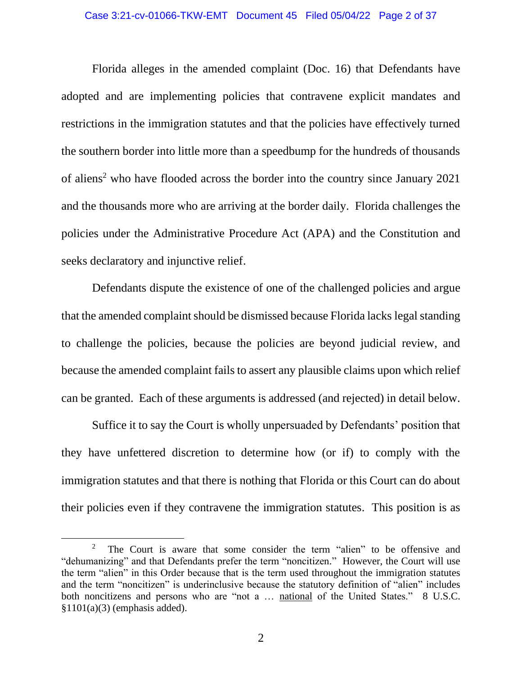Florida alleges in the amended complaint (Doc. 16) that Defendants have adopted and are implementing policies that contravene explicit mandates and restrictions in the immigration statutes and that the policies have effectively turned the southern border into little more than a speedbump for the hundreds of thousands of aliens<sup>2</sup> who have flooded across the border into the country since January 2021 and the thousands more who are arriving at the border daily. Florida challenges the policies under the Administrative Procedure Act (APA) and the Constitution and seeks declaratory and injunctive relief.

Defendants dispute the existence of one of the challenged policies and argue that the amended complaint should be dismissed because Florida lacks legal standing to challenge the policies, because the policies are beyond judicial review, and because the amended complaint fails to assert any plausible claims upon which relief can be granted. Each of these arguments is addressed (and rejected) in detail below.

Suffice it to say the Court is wholly unpersuaded by Defendants' position that they have unfettered discretion to determine how (or if) to comply with the immigration statutes and that there is nothing that Florida or this Court can do about their policies even if they contravene the immigration statutes. This position is as

<sup>2</sup> The Court is aware that some consider the term "alien" to be offensive and "dehumanizing" and that Defendants prefer the term "noncitizen." However, the Court will use the term "alien" in this Order because that is the term used throughout the immigration statutes and the term "noncitizen" is underinclusive because the statutory definition of "alien" includes both noncitizens and persons who are "not a ... national of the United States." 8 U.S.C.  $$1101(a)(3)$  (emphasis added).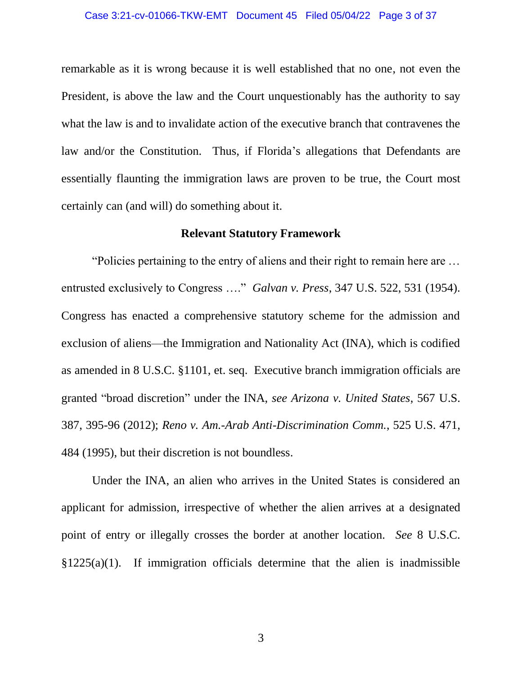#### Case 3:21-cv-01066-TKW-EMT Document 45 Filed 05/04/22 Page 3 of 37

remarkable as it is wrong because it is well established that no one, not even the President, is above the law and the Court unquestionably has the authority to say what the law is and to invalidate action of the executive branch that contravenes the law and/or the Constitution. Thus, if Florida's allegations that Defendants are essentially flaunting the immigration laws are proven to be true, the Court most certainly can (and will) do something about it.

#### **Relevant Statutory Framework**

"Policies pertaining to the entry of aliens and their right to remain here are … entrusted exclusively to Congress …." *Galvan v. Press*, 347 U.S. 522, 531 (1954). Congress has enacted a comprehensive statutory scheme for the admission and exclusion of aliens—the Immigration and Nationality Act (INA), which is codified as amended in 8 U.S.C. §1101, et. seq. Executive branch immigration officials are granted "broad discretion" under the INA, *see Arizona v. United States*, 567 U.S. 387, 395-96 (2012); *Reno v. Am.-Arab Anti-Discrimination Comm.*, 525 U.S. 471, 484 (1995), but their discretion is not boundless.

Under the INA, an alien who arrives in the United States is considered an applicant for admission, irrespective of whether the alien arrives at a designated point of entry or illegally crosses the border at another location. *See* 8 U.S.C.  $§1225(a)(1)$ . If immigration officials determine that the alien is inadmissible

3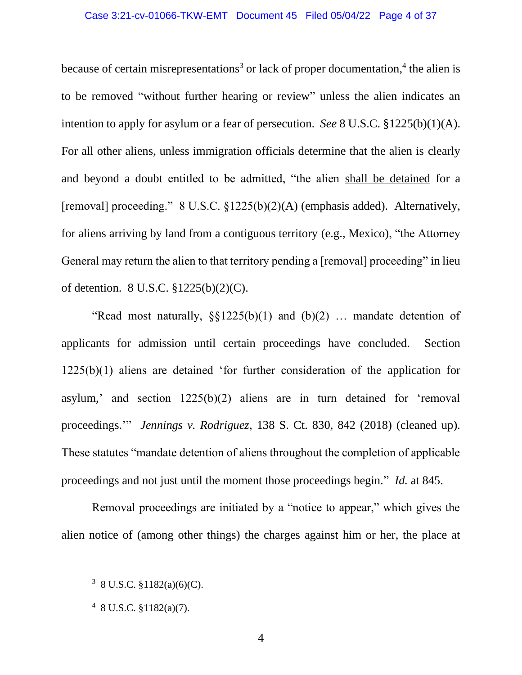because of certain misrepresentations<sup>3</sup> or lack of proper documentation,<sup>4</sup> the alien is to be removed "without further hearing or review" unless the alien indicates an intention to apply for asylum or a fear of persecution. *See* 8 U.S.C. §1225(b)(1)(A). For all other aliens, unless immigration officials determine that the alien is clearly and beyond a doubt entitled to be admitted, "the alien shall be detained for a [removal] proceeding." 8 U.S.C. §1225(b)(2)(A) (emphasis added). Alternatively, for aliens arriving by land from a contiguous territory (e.g., Mexico), "the Attorney General may return the alien to that territory pending a [removal] proceeding" in lieu of detention. 8 U.S.C. §1225(b)(2)(C).

"Read most naturally,  $\S_{\frac{1}{2}25(b)(1)}$  and  $(b)(2)$  ... mandate detention of applicants for admission until certain proceedings have concluded. Section 1225(b)(1) aliens are detained 'for further consideration of the application for asylum,' and section 1225(b)(2) aliens are in turn detained for 'removal proceedings.'" *Jennings v. Rodriguez*, 138 S. Ct. 830, 842 (2018) (cleaned up). These statutes "mandate detention of aliens throughout the completion of applicable proceedings and not just until the moment those proceedings begin." *Id.* at 845.

Removal proceedings are initiated by a "notice to appear," which gives the alien notice of (among other things) the charges against him or her, the place at

 $3 \text{ } 8 \text{ U.S.C. } $1182(a)(6)(C)$ .

 $48$  U.S.C.  $$1182(a)(7)$ .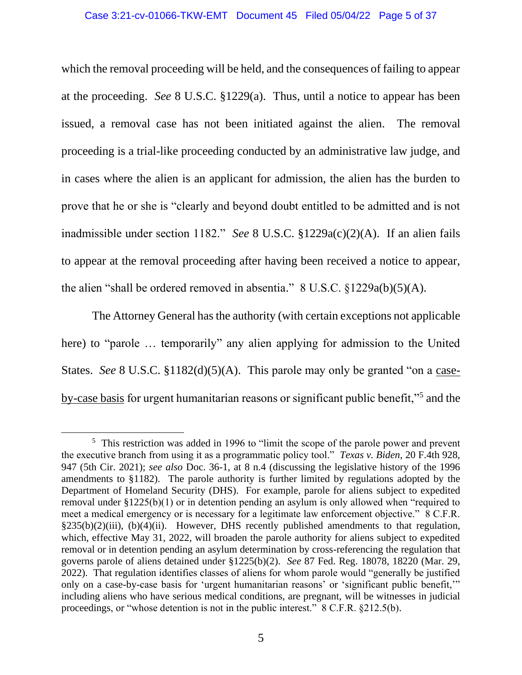which the removal proceeding will be held, and the consequences of failing to appear at the proceeding. *See* 8 U.S.C. §1229(a). Thus, until a notice to appear has been issued, a removal case has not been initiated against the alien. The removal proceeding is a trial-like proceeding conducted by an administrative law judge, and in cases where the alien is an applicant for admission, the alien has the burden to prove that he or she is "clearly and beyond doubt entitled to be admitted and is not inadmissible under section 1182." *See* 8 U.S.C. §1229a(c)(2)(A). If an alien fails to appear at the removal proceeding after having been received a notice to appear, the alien "shall be ordered removed in absentia."  $8 \text{ U.S.C. } §1229a(b)(5)(A)$ .

The Attorney General has the authority (with certain exceptions not applicable here) to "parole … temporarily" any alien applying for admission to the United States. *See* 8 U.S.C. §1182(d)(5)(A). This parole may only be granted "on a caseby-case basis for urgent humanitarian reasons or significant public benefit,"<sup>5</sup> and the

<sup>&</sup>lt;sup>5</sup> This restriction was added in 1996 to "limit the scope of the parole power and prevent the executive branch from using it as a programmatic policy tool." *Texas v. Biden*, 20 F.4th 928, 947 (5th Cir. 2021); *see also* Doc. 36-1, at 8 n.4 (discussing the legislative history of the 1996 amendments to §1182). The parole authority is further limited by regulations adopted by the Department of Homeland Security (DHS). For example, parole for aliens subject to expedited removal under §1225(b)(1) or in detention pending an asylum is only allowed when "required to meet a medical emergency or is necessary for a legitimate law enforcement objective." 8 C.F.R. §235(b)(2)(iii), (b)(4)(ii). However, DHS recently published amendments to that regulation, which, effective May 31, 2022, will broaden the parole authority for aliens subject to expedited removal or in detention pending an asylum determination by cross-referencing the regulation that governs parole of aliens detained under §1225(b)(2). *See* 87 Fed. Reg. 18078, 18220 (Mar. 29, 2022). That regulation identifies classes of aliens for whom parole would "generally be justified only on a case-by-case basis for 'urgent humanitarian reasons' or 'significant public benefit,'" including aliens who have serious medical conditions, are pregnant, will be witnesses in judicial proceedings, or "whose detention is not in the public interest." 8 C.F.R. §212.5(b).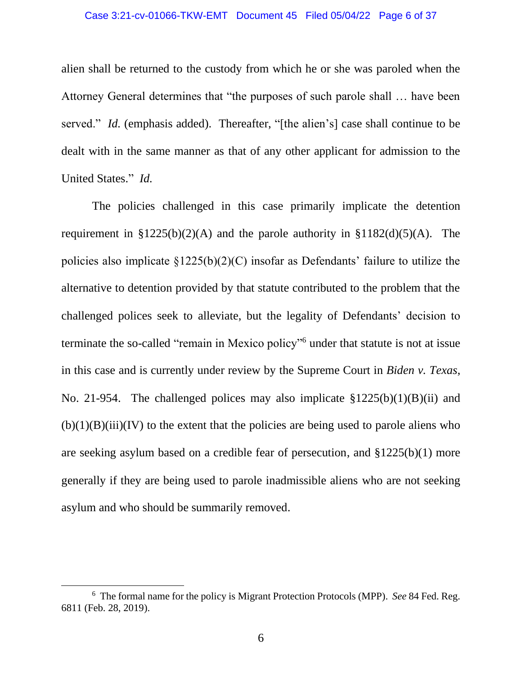#### Case 3:21-cv-01066-TKW-EMT Document 45 Filed 05/04/22 Page 6 of 37

alien shall be returned to the custody from which he or she was paroled when the Attorney General determines that "the purposes of such parole shall … have been served." *Id.* (emphasis added). Thereafter, "[the alien's] case shall continue to be dealt with in the same manner as that of any other applicant for admission to the United States." *Id.*

The policies challenged in this case primarily implicate the detention requirement in  $$1225(b)(2)(A)$  and the parole authority in  $$1182(d)(5)(A)$ . The policies also implicate §1225(b)(2)(C) insofar as Defendants' failure to utilize the alternative to detention provided by that statute contributed to the problem that the challenged polices seek to alleviate, but the legality of Defendants' decision to terminate the so-called "remain in Mexico policy"<sup>6</sup> under that statute is not at issue in this case and is currently under review by the Supreme Court in *Biden v. Texas*, No. 21-954. The challenged polices may also implicate §1225(b)(1)(B)(ii) and  $(b)(1)(B)(iii)(IV)$  to the extent that the policies are being used to parole aliens who are seeking asylum based on a credible fear of persecution, and §1225(b)(1) more generally if they are being used to parole inadmissible aliens who are not seeking asylum and who should be summarily removed.

<sup>6</sup> The formal name for the policy is Migrant Protection Protocols (MPP). *See* 84 Fed. Reg. 6811 (Feb. 28, 2019).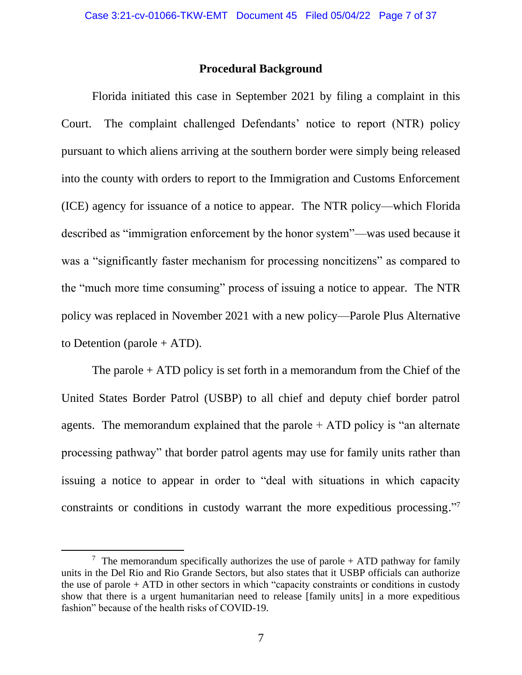## **Procedural Background**

Florida initiated this case in September 2021 by filing a complaint in this Court. The complaint challenged Defendants' notice to report (NTR) policy pursuant to which aliens arriving at the southern border were simply being released into the county with orders to report to the Immigration and Customs Enforcement (ICE) agency for issuance of a notice to appear. The NTR policy—which Florida described as "immigration enforcement by the honor system"—was used because it was a "significantly faster mechanism for processing noncitizens" as compared to the "much more time consuming" process of issuing a notice to appear. The NTR policy was replaced in November 2021 with a new policy—Parole Plus Alternative to Detention (parole  $+$  ATD).

The parole  $+$  ATD policy is set forth in a memorandum from the Chief of the United States Border Patrol (USBP) to all chief and deputy chief border patrol agents. The memorandum explained that the parole  $+$  ATD policy is "an alternate processing pathway" that border patrol agents may use for family units rather than issuing a notice to appear in order to "deal with situations in which capacity constraints or conditions in custody warrant the more expeditious processing."<sup>7</sup>

<sup>&</sup>lt;sup>7</sup> The memorandum specifically authorizes the use of parole  $+$  ATD pathway for family units in the Del Rio and Rio Grande Sectors, but also states that it USBP officials can authorize the use of parole + ATD in other sectors in which "capacity constraints or conditions in custody show that there is a urgent humanitarian need to release [family units] in a more expeditious fashion" because of the health risks of COVID-19.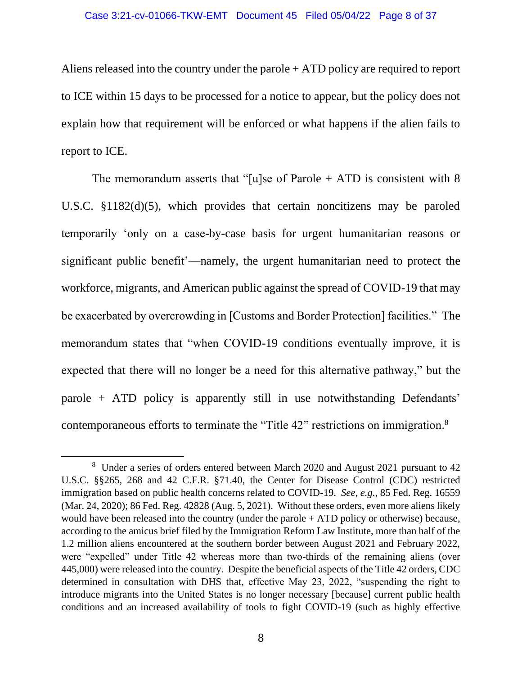Aliens released into the country under the parole + ATD policy are required to report to ICE within 15 days to be processed for a notice to appear, but the policy does not explain how that requirement will be enforced or what happens if the alien fails to report to ICE.

The memorandum asserts that "[u]se of Parole  $+$  ATD is consistent with 8 U.S.C. §1182(d)(5), which provides that certain noncitizens may be paroled temporarily 'only on a case-by-case basis for urgent humanitarian reasons or significant public benefit'—namely, the urgent humanitarian need to protect the workforce, migrants, and American public against the spread of COVID-19 that may be exacerbated by overcrowding in [Customs and Border Protection] facilities." The memorandum states that "when COVID-19 conditions eventually improve, it is expected that there will no longer be a need for this alternative pathway," but the parole + ATD policy is apparently still in use notwithstanding Defendants' contemporaneous efforts to terminate the "Title 42" restrictions on immigration.<sup>8</sup>

<sup>&</sup>lt;sup>8</sup> Under a series of orders entered between March 2020 and August 2021 pursuant to 42 U.S.C. §§265, 268 and 42 C.F.R. §71.40, the Center for Disease Control (CDC) restricted immigration based on public health concerns related to COVID-19. *See, e.g.*, 85 Fed. Reg. 16559 (Mar. 24, 2020); 86 Fed. Reg. 42828 (Aug. 5, 2021). Without these orders, even more aliens likely would have been released into the country (under the parole + ATD policy or otherwise) because, according to the amicus brief filed by the Immigration Reform Law Institute, more than half of the 1.2 million aliens encountered at the southern border between August 2021 and February 2022, were "expelled" under Title 42 whereas more than two-thirds of the remaining aliens (over 445,000) were released into the country. Despite the beneficial aspects of the Title 42 orders, CDC determined in consultation with DHS that, effective May 23, 2022, "suspending the right to introduce migrants into the United States is no longer necessary [because] current public health conditions and an increased availability of tools to fight COVID-19 (such as highly effective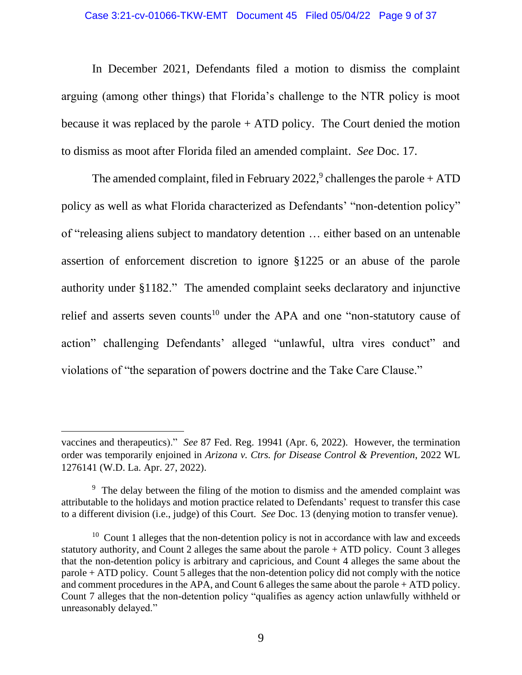In December 2021, Defendants filed a motion to dismiss the complaint arguing (among other things) that Florida's challenge to the NTR policy is moot because it was replaced by the parole + ATD policy. The Court denied the motion to dismiss as moot after Florida filed an amended complaint. *See* Doc. 17.

The amended complaint, filed in February 2022,<sup>9</sup> challenges the parole  $+$  ATD policy as well as what Florida characterized as Defendants' "non-detention policy" of "releasing aliens subject to mandatory detention … either based on an untenable assertion of enforcement discretion to ignore §1225 or an abuse of the parole authority under §1182." The amended complaint seeks declaratory and injunctive relief and asserts seven counts<sup>10</sup> under the APA and one "non-statutory cause of action" challenging Defendants' alleged "unlawful, ultra vires conduct" and violations of "the separation of powers doctrine and the Take Care Clause."

vaccines and therapeutics)." *See* 87 Fed. Reg. 19941 (Apr. 6, 2022). However, the termination order was temporarily enjoined in *Arizona v. Ctrs. for Disease Control & Prevention*, 2022 WL 1276141 (W.D. La. Apr. 27, 2022).

<sup>&</sup>lt;sup>9</sup> The delay between the filing of the motion to dismiss and the amended complaint was attributable to the holidays and motion practice related to Defendants' request to transfer this case to a different division (i.e., judge) of this Court. *See* Doc. 13 (denying motion to transfer venue).

 $10$  Count 1 alleges that the non-detention policy is not in accordance with law and exceeds statutory authority, and Count 2 alleges the same about the parole + ATD policy. Count 3 alleges that the non-detention policy is arbitrary and capricious, and Count 4 alleges the same about the parole + ATD policy. Count 5 alleges that the non-detention policy did not comply with the notice and comment procedures in the APA, and Count 6 alleges the same about the parole + ATD policy. Count 7 alleges that the non-detention policy "qualifies as agency action unlawfully withheld or unreasonably delayed."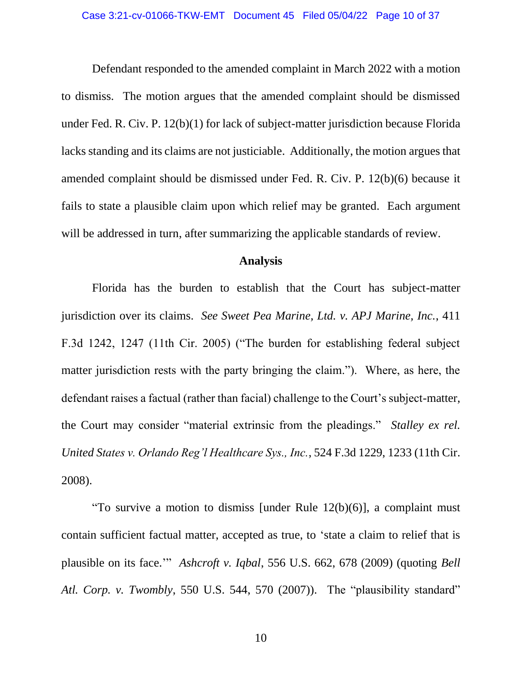Defendant responded to the amended complaint in March 2022 with a motion to dismiss. The motion argues that the amended complaint should be dismissed under Fed. R. Civ. P. 12(b)(1) for lack of subject-matter jurisdiction because Florida lacks standing and its claims are not justiciable. Additionally, the motion argues that amended complaint should be dismissed under Fed. R. Civ. P. 12(b)(6) because it fails to state a plausible claim upon which relief may be granted. Each argument will be addressed in turn, after summarizing the applicable standards of review.

## **Analysis**

Florida has the burden to establish that the Court has subject-matter jurisdiction over its claims. *See Sweet Pea Marine, Ltd. v. APJ Marine, Inc.*, 411 F.3d 1242, 1247 (11th Cir. 2005) ("The burden for establishing federal subject matter jurisdiction rests with the party bringing the claim."). Where, as here, the defendant raises a factual (rather than facial) challenge to the Court's subject-matter, the Court may consider "material extrinsic from the pleadings." *Stalley ex rel. United States v. Orlando Reg'l Healthcare Sys., Inc.*, 524 F.3d 1229, 1233 (11th Cir. 2008).

"To survive a motion to dismiss [under Rule 12(b)(6)], a complaint must contain sufficient factual matter, accepted as true, to 'state a claim to relief that is plausible on its face.'" *Ashcroft v. Iqbal*, 556 U.S. 662, 678 (2009) (quoting *Bell Atl. Corp. v. Twombly*, 550 U.S. 544, 570 (2007)). The "plausibility standard"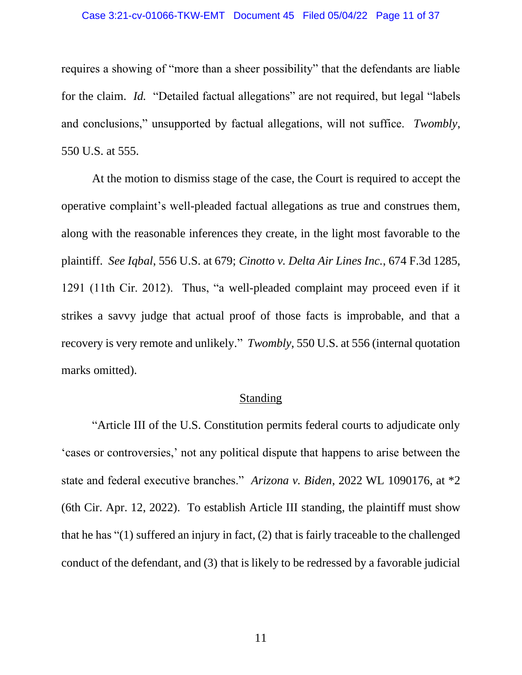requires a showing of "more than a sheer possibility" that the defendants are liable for the claim. *Id.* "Detailed factual allegations" are not required, but legal "labels and conclusions," unsupported by factual allegations, will not suffice. *Twombly*, 550 U.S. at 555.

At the motion to dismiss stage of the case, the Court is required to accept the operative complaint's well-pleaded factual allegations as true and construes them, along with the reasonable inferences they create, in the light most favorable to the plaintiff. *See Iqbal*, 556 U.S. at 679; *Cinotto v. Delta Air Lines Inc.*, 674 F.3d 1285, 1291 (11th Cir. 2012). Thus, "a well-pleaded complaint may proceed even if it strikes a savvy judge that actual proof of those facts is improbable, and that a recovery is very remote and unlikely." *Twombly*, 550 U.S. at 556 (internal quotation marks omitted).

### Standing

"Article III of the U.S. Constitution permits federal courts to adjudicate only 'cases or controversies,' not any political dispute that happens to arise between the state and federal executive branches." *Arizona v. Biden*, 2022 WL 1090176, at \*2 (6th Cir. Apr. 12, 2022). To establish Article III standing, the plaintiff must show that he has "(1) suffered an injury in fact, (2) that is fairly traceable to the challenged conduct of the defendant, and (3) that is likely to be redressed by a favorable judicial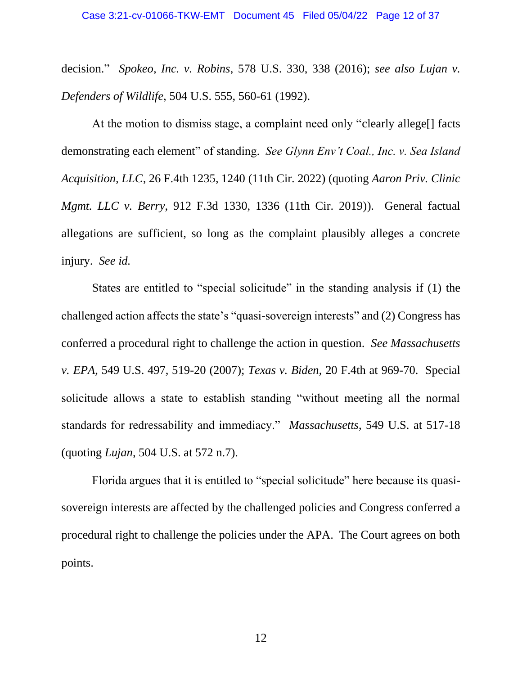decision." *Spokeo, Inc. v. Robins*, 578 U.S. 330, 338 (2016); *see also Lujan v. Defenders of Wildlife*, 504 U.S. 555, 560-61 (1992).

At the motion to dismiss stage, a complaint need only "clearly allege[] facts demonstrating each element" of standing. *See Glynn Env't Coal., Inc. v. Sea Island Acquisition, LLC*, 26 F.4th 1235, 1240 (11th Cir. 2022) (quoting *Aaron Priv. Clinic Mgmt. LLC v. Berry*, 912 F.3d 1330, 1336 (11th Cir. 2019)). General factual allegations are sufficient, so long as the complaint plausibly alleges a concrete injury. *See id.* 

States are entitled to "special solicitude" in the standing analysis if (1) the challenged action affects the state's "quasi-sovereign interests" and (2) Congress has conferred a procedural right to challenge the action in question. *See Massachusetts v. EPA*, 549 U.S. 497, 519-20 (2007); *Texas v. Biden*, 20 F.4th at 969-70. Special solicitude allows a state to establish standing "without meeting all the normal standards for redressability and immediacy." *Massachusetts*, 549 U.S. at 517-18 (quoting *Lujan*, 504 U.S. at 572 n.7).

Florida argues that it is entitled to "special solicitude" here because its quasisovereign interests are affected by the challenged policies and Congress conferred a procedural right to challenge the policies under the APA. The Court agrees on both points.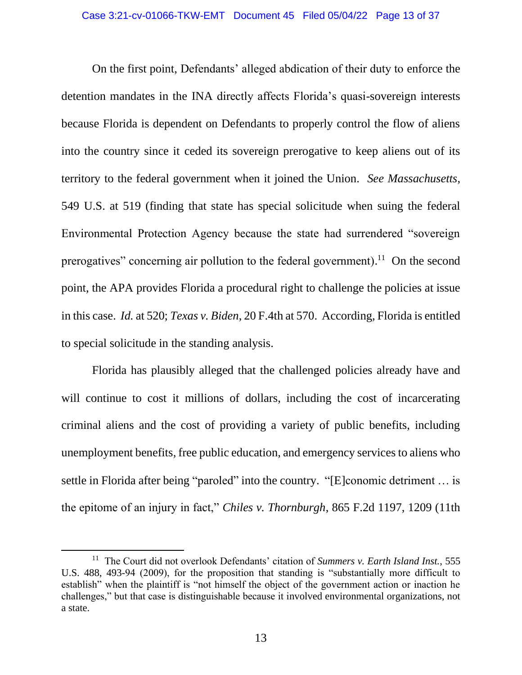On the first point, Defendants' alleged abdication of their duty to enforce the detention mandates in the INA directly affects Florida's quasi-sovereign interests because Florida is dependent on Defendants to properly control the flow of aliens into the country since it ceded its sovereign prerogative to keep aliens out of its territory to the federal government when it joined the Union. *See Massachusetts*, 549 U.S. at 519 (finding that state has special solicitude when suing the federal Environmental Protection Agency because the state had surrendered "sovereign prerogatives" concerning air pollution to the federal government).<sup>11</sup> On the second point, the APA provides Florida a procedural right to challenge the policies at issue in this case. *Id.* at 520; *Texas v. Biden*, 20 F.4th at 570. According, Florida is entitled to special solicitude in the standing analysis.

Florida has plausibly alleged that the challenged policies already have and will continue to cost it millions of dollars, including the cost of incarcerating criminal aliens and the cost of providing a variety of public benefits, including unemployment benefits, free public education, and emergency services to aliens who settle in Florida after being "paroled" into the country. "[E]conomic detriment ... is the epitome of an injury in fact," *Chiles v. Thornburgh*, 865 F.2d 1197, 1209 (11th

<sup>11</sup> The Court did not overlook Defendants' citation of *Summers v. Earth Island Inst.*, 555 U.S. 488, 493-94 (2009), for the proposition that standing is "substantially more difficult to establish" when the plaintiff is "not himself the object of the government action or inaction he challenges," but that case is distinguishable because it involved environmental organizations, not a state.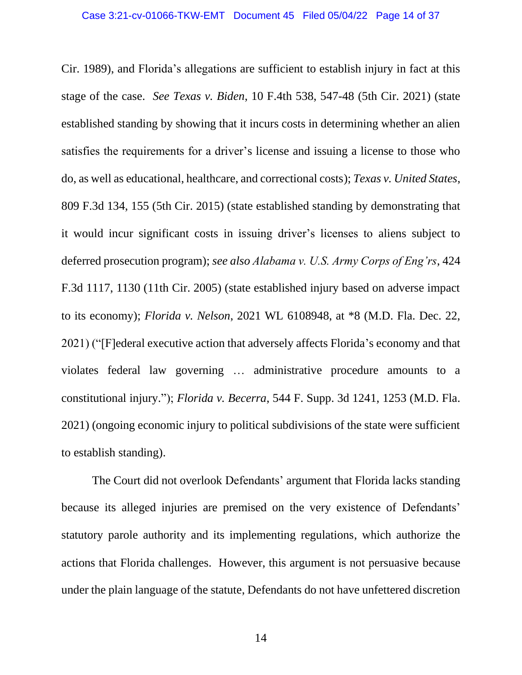Cir. 1989), and Florida's allegations are sufficient to establish injury in fact at this stage of the case. *See Texas v. Biden*, 10 F.4th 538, 547-48 (5th Cir. 2021) (state established standing by showing that it incurs costs in determining whether an alien satisfies the requirements for a driver's license and issuing a license to those who do, as well as educational, healthcare, and correctional costs); *Texas v. United States*, 809 F.3d 134, 155 (5th Cir. 2015) (state established standing by demonstrating that it would incur significant costs in issuing driver's licenses to aliens subject to deferred prosecution program); *see also Alabama v. U.S. Army Corps of Eng'rs*, 424 F.3d 1117, 1130 (11th Cir. 2005) (state established injury based on adverse impact to its economy); *Florida v. Nelson*, 2021 WL 6108948, at \*8 (M.D. Fla. Dec. 22, 2021) ("[F]ederal executive action that adversely affects Florida's economy and that violates federal law governing … administrative procedure amounts to a constitutional injury."); *Florida v. Becerra*, 544 F. Supp. 3d 1241, 1253 (M.D. Fla. 2021) (ongoing economic injury to political subdivisions of the state were sufficient to establish standing).

The Court did not overlook Defendants' argument that Florida lacks standing because its alleged injuries are premised on the very existence of Defendants' statutory parole authority and its implementing regulations, which authorize the actions that Florida challenges. However, this argument is not persuasive because under the plain language of the statute, Defendants do not have unfettered discretion

14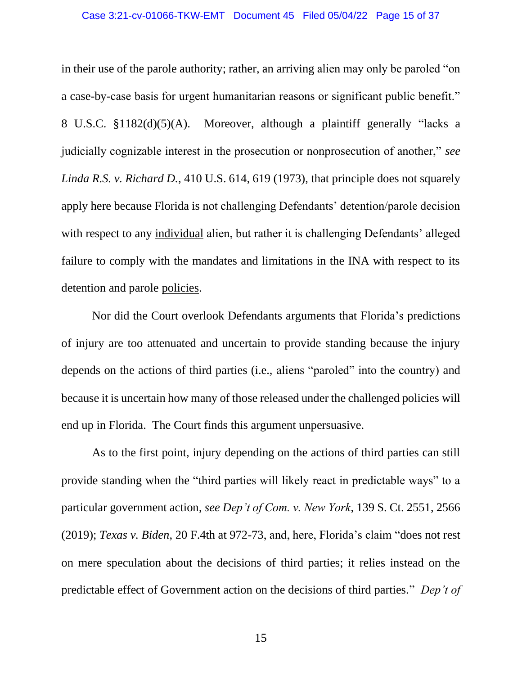in their use of the parole authority; rather, an arriving alien may only be paroled "on a case-by-case basis for urgent humanitarian reasons or significant public benefit." 8 U.S.C. §1182(d)(5)(A). Moreover, although a plaintiff generally "lacks a judicially cognizable interest in the prosecution or nonprosecution of another," *see Linda R.S. v. Richard D.*, 410 U.S. 614, 619 (1973), that principle does not squarely apply here because Florida is not challenging Defendants' detention/parole decision with respect to any individual alien, but rather it is challenging Defendants' alleged failure to comply with the mandates and limitations in the INA with respect to its detention and parole policies.

Nor did the Court overlook Defendants arguments that Florida's predictions of injury are too attenuated and uncertain to provide standing because the injury depends on the actions of third parties (i.e., aliens "paroled" into the country) and because it is uncertain how many of those released under the challenged policies will end up in Florida. The Court finds this argument unpersuasive.

As to the first point, injury depending on the actions of third parties can still provide standing when the "third parties will likely react in predictable ways" to a particular government action, *see Dep't of Com. v. New York*, 139 S. Ct. 2551, 2566 (2019); *Texas v. Biden*, 20 F.4th at 972-73, and, here, Florida's claim "does not rest on mere speculation about the decisions of third parties; it relies instead on the predictable effect of Government action on the decisions of third parties." *Dep't of*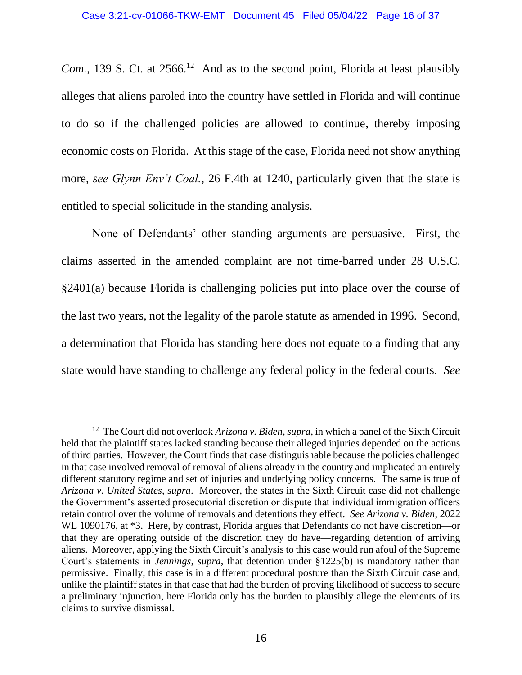*Com.*, 139 S. Ct. at  $2566$ <sup>12</sup> And as to the second point, Florida at least plausibly alleges that aliens paroled into the country have settled in Florida and will continue to do so if the challenged policies are allowed to continue, thereby imposing economic costs on Florida. At this stage of the case, Florida need not show anything more, *see Glynn Env't Coal.*, 26 F.4th at 1240, particularly given that the state is entitled to special solicitude in the standing analysis.

None of Defendants' other standing arguments are persuasive. First, the claims asserted in the amended complaint are not time-barred under 28 U.S.C. §2401(a) because Florida is challenging policies put into place over the course of the last two years, not the legality of the parole statute as amended in 1996. Second, a determination that Florida has standing here does not equate to a finding that any state would have standing to challenge any federal policy in the federal courts. *See* 

<sup>12</sup> The Court did not overlook *Arizona v. Biden*, *supra*, in which a panel of the Sixth Circuit held that the plaintiff states lacked standing because their alleged injuries depended on the actions of third parties. However, the Court finds that case distinguishable because the policies challenged in that case involved removal of removal of aliens already in the country and implicated an entirely different statutory regime and set of injuries and underlying policy concerns. The same is true of *Arizona v. United States*, *supra*. Moreover, the states in the Sixth Circuit case did not challenge the Government's asserted prosecutorial discretion or dispute that individual immigration officers retain control over the volume of removals and detentions they effect. *See Arizona v. Biden*, 2022 WL 1090176, at  $*3$ . Here, by contrast, Florida argues that Defendants do not have discretion—or that they are operating outside of the discretion they do have—regarding detention of arriving aliens. Moreover, applying the Sixth Circuit's analysis to this case would run afoul of the Supreme Court's statements in *Jennings*, *supra*, that detention under §1225(b) is mandatory rather than permissive. Finally, this case is in a different procedural posture than the Sixth Circuit case and, unlike the plaintiff states in that case that had the burden of proving likelihood of success to secure a preliminary injunction, here Florida only has the burden to plausibly allege the elements of its claims to survive dismissal.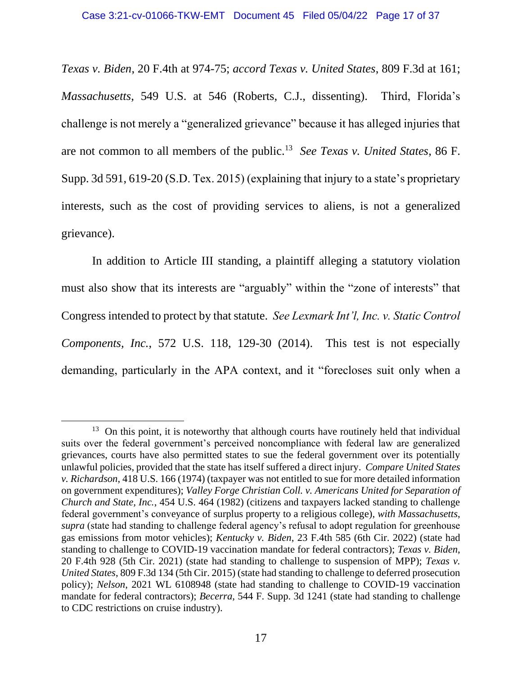*Texas v. Biden*, 20 F.4th at 974-75; *accord Texas v. United States*, 809 F.3d at 161; *Massachusetts*, 549 U.S. at 546 (Roberts, C.J., dissenting). Third, Florida's challenge is not merely a "generalized grievance" because it has alleged injuries that are not common to all members of the public.<sup>13</sup> *See Texas v. United States*, 86 F. Supp. 3d 591, 619-20 (S.D. Tex. 2015) (explaining that injury to a state's proprietary interests, such as the cost of providing services to aliens, is not a generalized grievance).

In addition to Article III standing, a plaintiff alleging a statutory violation must also show that its interests are "arguably" within the "zone of interests" that Congress intended to protect by that statute. *See Lexmark Int'l, Inc. v. Static Control Components, Inc.*, 572 U.S. 118, 129-30 (2014). This test is not especially demanding, particularly in the APA context, and it "forecloses suit only when a

<sup>&</sup>lt;sup>13</sup> On this point, it is noteworthy that although courts have routinely held that individual suits over the federal government's perceived noncompliance with federal law are generalized grievances, courts have also permitted states to sue the federal government over its potentially unlawful policies, provided that the state has itself suffered a direct injury. *Compare United States v. Richardson*, 418 U.S. 166 (1974) (taxpayer was not entitled to sue for more detailed information on government expenditures); *Valley Forge Christian Coll. v. Americans United for Separation of Church and State, Inc.*, 454 U.S. 464 (1982) (citizens and taxpayers lacked standing to challenge federal government's conveyance of surplus property to a religious college), *with Massachusetts*, *supra* (state had standing to challenge federal agency's refusal to adopt regulation for greenhouse gas emissions from motor vehicles); *Kentucky v. Biden*, 23 F.4th 585 (6th Cir. 2022) (state had standing to challenge to COVID-19 vaccination mandate for federal contractors); *Texas v. Biden*, 20 F.4th 928 (5th Cir. 2021) (state had standing to challenge to suspension of MPP); *Texas v. United States*, 809 F.3d 134 (5th Cir. 2015) (state had standing to challenge to deferred prosecution policy); *Nelson*, 2021 WL 6108948 (state had standing to challenge to COVID-19 vaccination mandate for federal contractors); *Becerra*, 544 F. Supp. 3d 1241 (state had standing to challenge to CDC restrictions on cruise industry).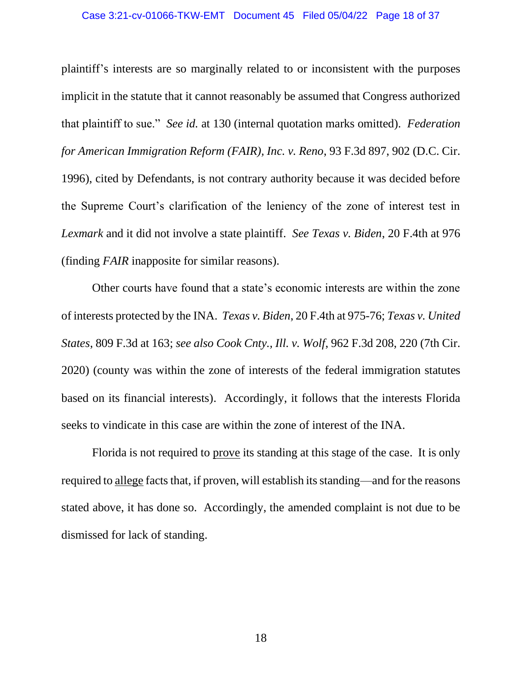plaintiff's interests are so marginally related to or inconsistent with the purposes implicit in the statute that it cannot reasonably be assumed that Congress authorized that plaintiff to sue." *See id.* at 130 (internal quotation marks omitted). *Federation for American Immigration Reform (FAIR), Inc. v. Reno*, 93 F.3d 897, 902 (D.C. Cir. 1996), cited by Defendants, is not contrary authority because it was decided before the Supreme Court's clarification of the leniency of the zone of interest test in *Lexmark* and it did not involve a state plaintiff. *See Texas v. Biden*, 20 F.4th at 976 (finding *FAIR* inapposite for similar reasons).

Other courts have found that a state's economic interests are within the zone of interests protected by the INA. *Texas v. Biden*, 20 F.4th at 975-76; *Texas v. United States*, 809 F.3d at 163; *see also Cook Cnty., Ill. v. Wolf*, 962 F.3d 208, 220 (7th Cir. 2020) (county was within the zone of interests of the federal immigration statutes based on its financial interests). Accordingly, it follows that the interests Florida seeks to vindicate in this case are within the zone of interest of the INA.

Florida is not required to prove its standing at this stage of the case. It is only required to allege facts that, if proven, will establish its standing—and for the reasons stated above, it has done so. Accordingly, the amended complaint is not due to be dismissed for lack of standing.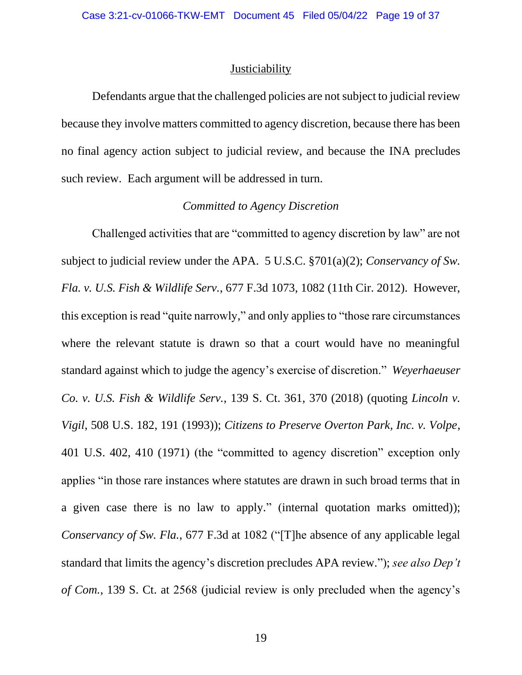### **Justiciability**

Defendants argue that the challenged policies are not subject to judicial review because they involve matters committed to agency discretion, because there has been no final agency action subject to judicial review, and because the INA precludes such review. Each argument will be addressed in turn.

# *Committed to Agency Discretion*

Challenged activities that are "committed to agency discretion by law" are not subject to judicial review under the APA. 5 U.S.C. §701(a)(2); *Conservancy of Sw. Fla. v. U.S. Fish & Wildlife Serv.*, 677 F.3d 1073, 1082 (11th Cir. 2012). However, this exception is read "quite narrowly," and only applies to "those rare circumstances where the relevant statute is drawn so that a court would have no meaningful standard against which to judge the agency's exercise of discretion." *Weyerhaeuser Co. v. U.S. Fish & Wildlife Serv.*, 139 S. Ct. 361, 370 (2018) (quoting *Lincoln v. Vigil*, 508 U.S. 182, 191 (1993)); *Citizens to Preserve Overton Park, Inc. v. Volpe*, 401 U.S. 402, 410 (1971) (the "committed to agency discretion" exception only applies "in those rare instances where statutes are drawn in such broad terms that in a given case there is no law to apply." (internal quotation marks omitted)); *Conservancy of Sw. Fla.*, 677 F.3d at 1082 ("[T]he absence of any applicable legal standard that limits the agency's discretion precludes APA review."); *see also Dep't of Com.*, 139 S. Ct. at 2568 (judicial review is only precluded when the agency's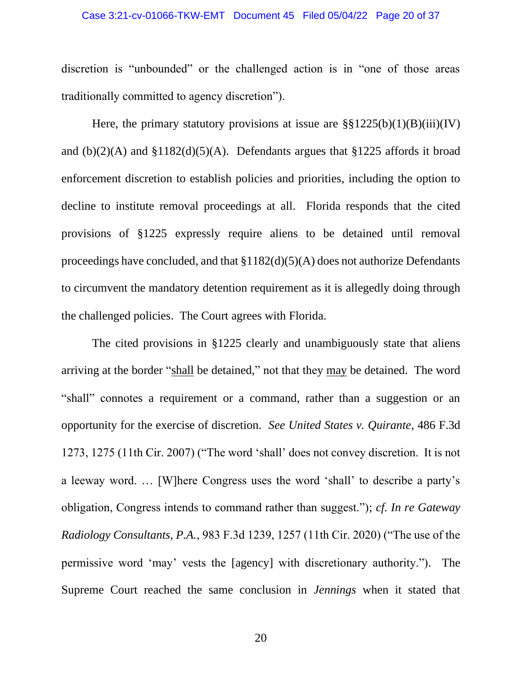#### Case 3:21-cv-01066-TKW-EMT Document 45 Filed 05/04/22 Page 20 of 37

discretion is "unbounded" or the challenged action is in "one of those areas traditionally committed to agency discretion").

Here, the primary statutory provisions at issue are  $\S$ §1225(b)(1)(B)(iii)(IV) and  $(b)(2)(A)$  and  $$1182(d)(5)(A)$ . Defendants argues that  $$1225$  affords it broad enforcement discretion to establish policies and priorities, including the option to decline to institute removal proceedings at all. Florida responds that the cited provisions of §1225 expressly require aliens to be detained until removal proceedings have concluded, and that  $$1182(d)(5)(A)$  does not authorize Defendants to circumvent the mandatory detention requirement as it is allegedly doing through the challenged policies. The Court agrees with Florida.

The cited provisions in §1225 clearly and unambiguously state that aliens arriving at the border "shall be detained," not that they may be detained. The word "shall" connotes a requirement or a command, rather than a suggestion or an opportunity for the exercise of discretion. *See United States v. Quirante*, 486 F.3d 1273, 1275 (11th Cir. 2007) ("The word 'shall' does not convey discretion. It is not a leeway word. … [W]here Congress uses the word 'shall' to describe a party's obligation, Congress intends to command rather than suggest."); *cf. In re Gateway Radiology Consultants, P.A.*, 983 F.3d 1239, 1257 (11th Cir. 2020) ("The use of the permissive word 'may' vests the [agency] with discretionary authority."). The Supreme Court reached the same conclusion in *Jennings* when it stated that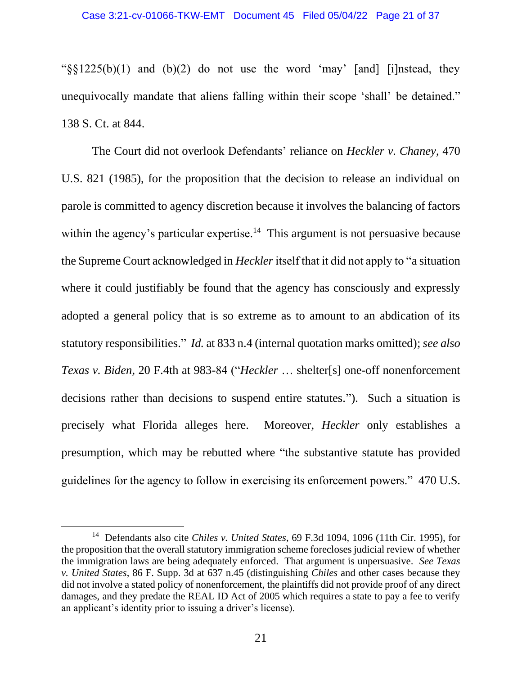" $\frac{\sqrt{8}}{225(b)(1)}$  and (b)(2) do not use the word 'may' [and] [i]nstead, they unequivocally mandate that aliens falling within their scope 'shall' be detained." 138 S. Ct. at 844.

The Court did not overlook Defendants' reliance on *Heckler v. Chaney*, 470 U.S. 821 (1985), for the proposition that the decision to release an individual on parole is committed to agency discretion because it involves the balancing of factors within the agency's particular expertise.<sup>14</sup> This argument is not persuasive because the Supreme Court acknowledged in *Heckler*itself that it did not apply to "a situation where it could justifiably be found that the agency has consciously and expressly adopted a general policy that is so extreme as to amount to an abdication of its statutory responsibilities." *Id.* at 833 n.4 (internal quotation marks omitted); *see also Texas v. Biden*, 20 F.4th at 983-84 ("*Heckler* … shelter[s] one-off nonenforcement decisions rather than decisions to suspend entire statutes."). Such a situation is precisely what Florida alleges here. Moreover, *Heckler* only establishes a presumption, which may be rebutted where "the substantive statute has provided guidelines for the agency to follow in exercising its enforcement powers." 470 U.S.

<sup>14</sup> Defendants also cite *Chiles v. United States*, 69 F.3d 1094, 1096 (11th Cir. 1995), for the proposition that the overall statutory immigration scheme forecloses judicial review of whether the immigration laws are being adequately enforced. That argument is unpersuasive. *See Texas v. United States*, 86 F. Supp. 3d at 637 n.45 (distinguishing *Chiles* and other cases because they did not involve a stated policy of nonenforcement, the plaintiffs did not provide proof of any direct damages, and they predate the REAL ID Act of 2005 which requires a state to pay a fee to verify an applicant's identity prior to issuing a driver's license).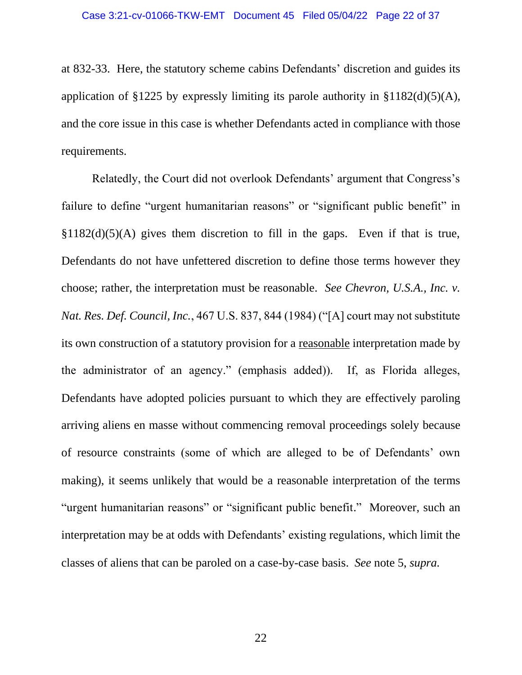at 832-33. Here, the statutory scheme cabins Defendants' discretion and guides its application of §1225 by expressly limiting its parole authority in §1182(d)(5)(A), and the core issue in this case is whether Defendants acted in compliance with those requirements.

Relatedly, the Court did not overlook Defendants' argument that Congress's failure to define "urgent humanitarian reasons" or "significant public benefit" in  $§1182(d)(5)(A)$  gives them discretion to fill in the gaps. Even if that is true, Defendants do not have unfettered discretion to define those terms however they choose; rather, the interpretation must be reasonable. *See Chevron, U.S.A., Inc. v. Nat. Res. Def. Council, Inc.*, 467 U.S. 837, 844 (1984) ("[A] court may not substitute its own construction of a statutory provision for a reasonable interpretation made by the administrator of an agency." (emphasis added)). If, as Florida alleges, Defendants have adopted policies pursuant to which they are effectively paroling arriving aliens en masse without commencing removal proceedings solely because of resource constraints (some of which are alleged to be of Defendants' own making), it seems unlikely that would be a reasonable interpretation of the terms "urgent humanitarian reasons" or "significant public benefit." Moreover, such an interpretation may be at odds with Defendants' existing regulations, which limit the classes of aliens that can be paroled on a case-by-case basis. *See* note 5, *supra.*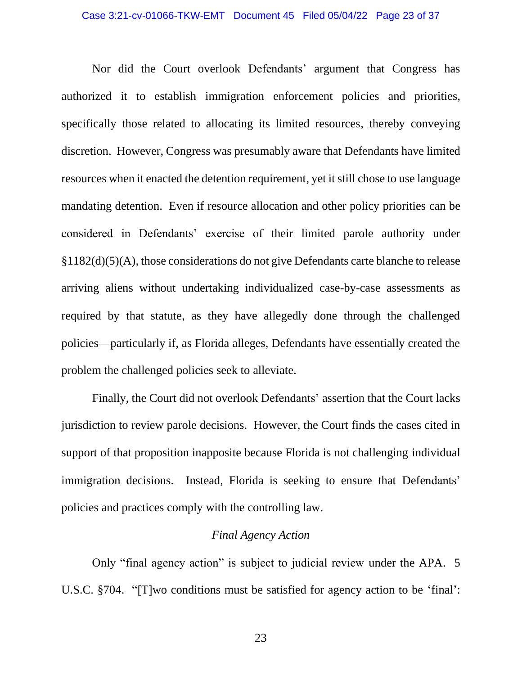Nor did the Court overlook Defendants' argument that Congress has authorized it to establish immigration enforcement policies and priorities, specifically those related to allocating its limited resources, thereby conveying discretion. However, Congress was presumably aware that Defendants have limited resources when it enacted the detention requirement, yet it still chose to use language mandating detention. Even if resource allocation and other policy priorities can be considered in Defendants' exercise of their limited parole authority under §1182(d)(5)(A), those considerations do not give Defendants carte blanche to release arriving aliens without undertaking individualized case-by-case assessments as required by that statute, as they have allegedly done through the challenged policies—particularly if, as Florida alleges, Defendants have essentially created the problem the challenged policies seek to alleviate.

Finally, the Court did not overlook Defendants' assertion that the Court lacks jurisdiction to review parole decisions. However, the Court finds the cases cited in support of that proposition inapposite because Florida is not challenging individual immigration decisions. Instead, Florida is seeking to ensure that Defendants' policies and practices comply with the controlling law.

## *Final Agency Action*

Only "final agency action" is subject to judicial review under the APA. 5 U.S.C. §704. "[T]wo conditions must be satisfied for agency action to be 'final':

23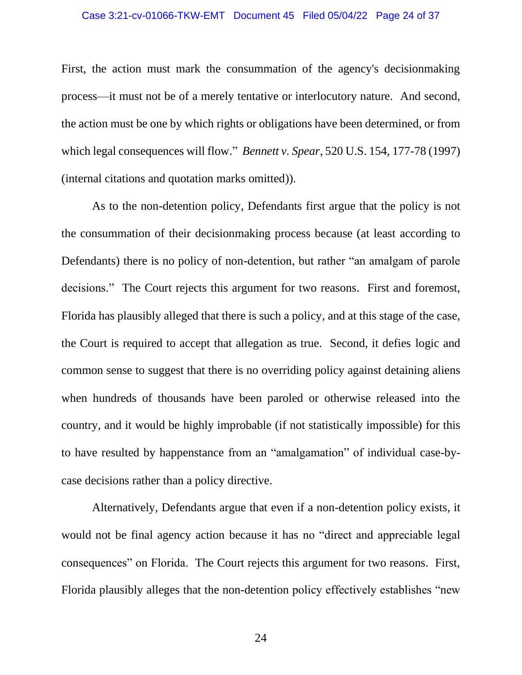First, the action must mark the consummation of the agency's decisionmaking process—it must not be of a merely tentative or interlocutory nature. And second, the action must be one by which rights or obligations have been determined, or from which legal consequences will flow." *Bennett v. Spear*, 520 U.S. 154, 177-78 (1997) (internal citations and quotation marks omitted)).

As to the non-detention policy, Defendants first argue that the policy is not the consummation of their decisionmaking process because (at least according to Defendants) there is no policy of non-detention, but rather "an amalgam of parole decisions." The Court rejects this argument for two reasons. First and foremost, Florida has plausibly alleged that there is such a policy, and at this stage of the case, the Court is required to accept that allegation as true. Second, it defies logic and common sense to suggest that there is no overriding policy against detaining aliens when hundreds of thousands have been paroled or otherwise released into the country, and it would be highly improbable (if not statistically impossible) for this to have resulted by happenstance from an "amalgamation" of individual case-bycase decisions rather than a policy directive.

Alternatively, Defendants argue that even if a non-detention policy exists, it would not be final agency action because it has no "direct and appreciable legal consequences" on Florida. The Court rejects this argument for two reasons. First, Florida plausibly alleges that the non-detention policy effectively establishes "new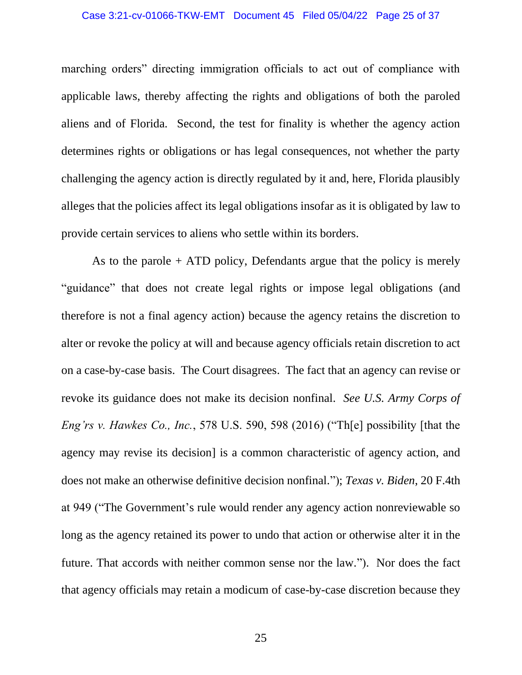#### Case 3:21-cv-01066-TKW-EMT Document 45 Filed 05/04/22 Page 25 of 37

marching orders" directing immigration officials to act out of compliance with applicable laws, thereby affecting the rights and obligations of both the paroled aliens and of Florida. Second, the test for finality is whether the agency action determines rights or obligations or has legal consequences, not whether the party challenging the agency action is directly regulated by it and, here, Florida plausibly alleges that the policies affect its legal obligations insofar as it is obligated by law to provide certain services to aliens who settle within its borders.

As to the parole + ATD policy, Defendants argue that the policy is merely "guidance" that does not create legal rights or impose legal obligations (and therefore is not a final agency action) because the agency retains the discretion to alter or revoke the policy at will and because agency officials retain discretion to act on a case-by-case basis. The Court disagrees. The fact that an agency can revise or revoke its guidance does not make its decision nonfinal. *See U.S. Army Corps of Eng'rs v. Hawkes Co., Inc.*, 578 U.S. 590, 598 (2016) ("Th[e] possibility [that the agency may revise its decision] is a common characteristic of agency action, and does not make an otherwise definitive decision nonfinal."); *Texas v. Biden*, 20 F.4th at 949 ("The Government's rule would render any agency action nonreviewable so long as the agency retained its power to undo that action or otherwise alter it in the future. That accords with neither common sense nor the law."). Nor does the fact that agency officials may retain a modicum of case-by-case discretion because they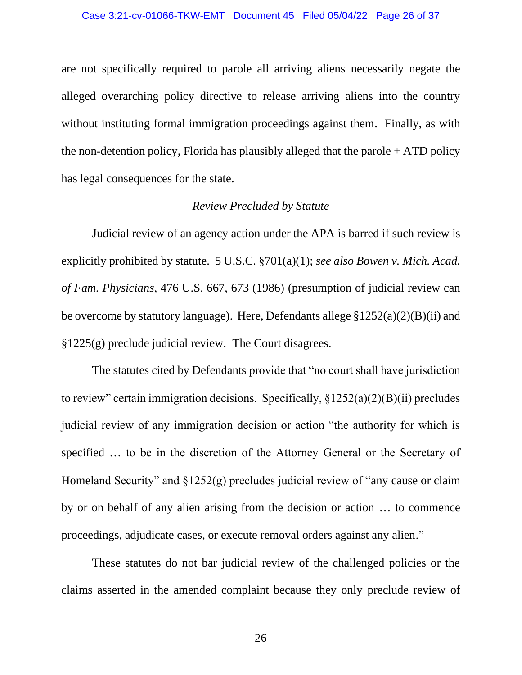are not specifically required to parole all arriving aliens necessarily negate the alleged overarching policy directive to release arriving aliens into the country without instituting formal immigration proceedings against them. Finally, as with the non-detention policy, Florida has plausibly alleged that the parole + ATD policy has legal consequences for the state.

### *Review Precluded by Statute*

Judicial review of an agency action under the APA is barred if such review is explicitly prohibited by statute. 5 U.S.C. §701(a)(1); *see also Bowen v. Mich. Acad. of Fam. Physicians*, 476 U.S. 667, 673 (1986) (presumption of judicial review can be overcome by statutory language). Here, Defendants allege §1252(a)(2)(B)(ii) and §1225(g) preclude judicial review. The Court disagrees.

The statutes cited by Defendants provide that "no court shall have jurisdiction to review" certain immigration decisions. Specifically,  $\S 1252(a)(2)(B)(ii)$  precludes judicial review of any immigration decision or action "the authority for which is specified … to be in the discretion of the Attorney General or the Secretary of Homeland Security" and  $\S 1252(g)$  precludes judicial review of "any cause or claim" by or on behalf of any alien arising from the decision or action … to commence proceedings, adjudicate cases, or execute removal orders against any alien."

These statutes do not bar judicial review of the challenged policies or the claims asserted in the amended complaint because they only preclude review of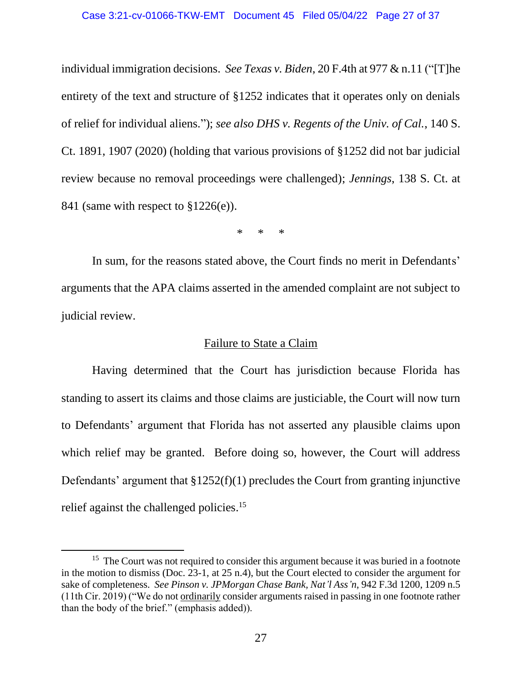individual immigration decisions. *See Texas v. Biden*, 20 F.4th at 977 & n.11 ("[T]he entirety of the text and structure of §1252 indicates that it operates only on denials of relief for individual aliens."); *see also DHS v. Regents of the Univ. of Cal.*, 140 S. Ct. 1891, 1907 (2020) (holding that various provisions of §1252 did not bar judicial review because no removal proceedings were challenged); *Jennings*, 138 S. Ct. at 841 (same with respect to §1226(e)).

\* \* \*

In sum, for the reasons stated above, the Court finds no merit in Defendants' arguments that the APA claims asserted in the amended complaint are not subject to judicial review.

# Failure to State a Claim

Having determined that the Court has jurisdiction because Florida has standing to assert its claims and those claims are justiciable, the Court will now turn to Defendants' argument that Florida has not asserted any plausible claims upon which relief may be granted. Before doing so, however, the Court will address Defendants' argument that  $$1252(f)(1)$  precludes the Court from granting injunctive relief against the challenged policies.<sup>15</sup>

<sup>&</sup>lt;sup>15</sup> The Court was not required to consider this argument because it was buried in a footnote in the motion to dismiss (Doc. 23-1, at 25 n.4), but the Court elected to consider the argument for sake of completeness. *See Pinson v. JPMorgan Chase Bank, Nat'l Ass'n*, 942 F.3d 1200, 1209 n.5 (11th Cir. 2019) ("We do not ordinarily consider arguments raised in passing in one footnote rather than the body of the brief." (emphasis added)).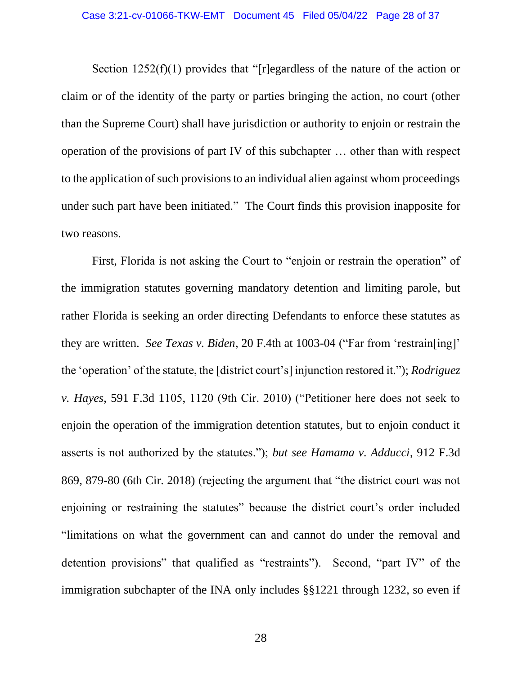Section 1252(f)(1) provides that "[r]egardless of the nature of the action or claim or of the identity of the party or parties bringing the action, no court (other than the Supreme Court) shall have jurisdiction or authority to enjoin or restrain the operation of the provisions of part IV of this subchapter … other than with respect to the application of such provisions to an individual alien against whom proceedings under such part have been initiated." The Court finds this provision inapposite for two reasons.

First, Florida is not asking the Court to "enjoin or restrain the operation" of the immigration statutes governing mandatory detention and limiting parole, but rather Florida is seeking an order directing Defendants to enforce these statutes as they are written. *See Texas v. Biden*, 20 F.4th at 1003-04 ("Far from 'restrain[ing]' the 'operation' of the statute, the [district court's] injunction restored it."); *Rodriguez v. Hayes*, 591 F.3d 1105, 1120 (9th Cir. 2010) ("Petitioner here does not seek to enjoin the operation of the immigration detention statutes, but to enjoin conduct it asserts is not authorized by the statutes."); *but see Hamama v. Adducci*, 912 F.3d 869, 879-80 (6th Cir. 2018) (rejecting the argument that "the district court was not enjoining or restraining the statutes" because the district court's order included "limitations on what the government can and cannot do under the removal and detention provisions" that qualified as "restraints"). Second, "part IV" of the immigration subchapter of the INA only includes §§1221 through 1232, so even if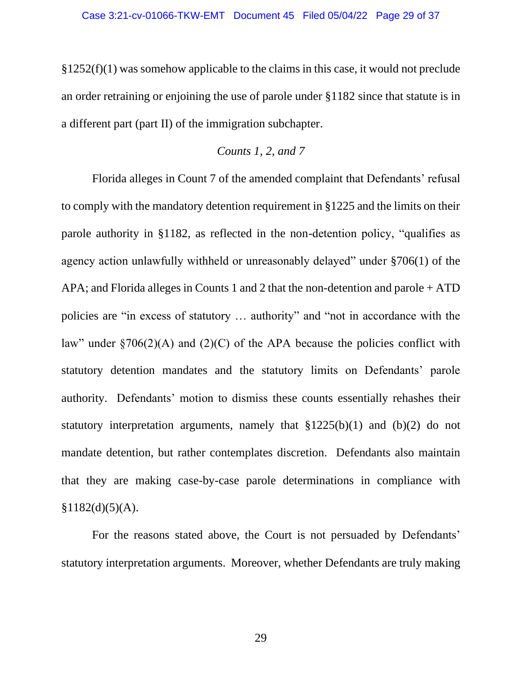§1252(f)(1) was somehow applicable to the claims in this case, it would not preclude an order retraining or enjoining the use of parole under §1182 since that statute is in a different part (part II) of the immigration subchapter.

## *Counts 1, 2, and 7*

Florida alleges in Count 7 of the amended complaint that Defendants' refusal to comply with the mandatory detention requirement in §1225 and the limits on their parole authority in §1182, as reflected in the non-detention policy, "qualifies as agency action unlawfully withheld or unreasonably delayed" under §706(1) of the APA; and Florida alleges in Counts 1 and 2 that the non-detention and parole + ATD policies are "in excess of statutory … authority" and "not in accordance with the law" under  $\sqrt{706(2)}$ (A) and (2)(C) of the APA because the policies conflict with statutory detention mandates and the statutory limits on Defendants' parole authority. Defendants' motion to dismiss these counts essentially rehashes their statutory interpretation arguments, namely that §1225(b)(1) and (b)(2) do not mandate detention, but rather contemplates discretion. Defendants also maintain that they are making case-by-case parole determinations in compliance with  $$1182(d)(5)(A).$ 

For the reasons stated above, the Court is not persuaded by Defendants' statutory interpretation arguments. Moreover, whether Defendants are truly making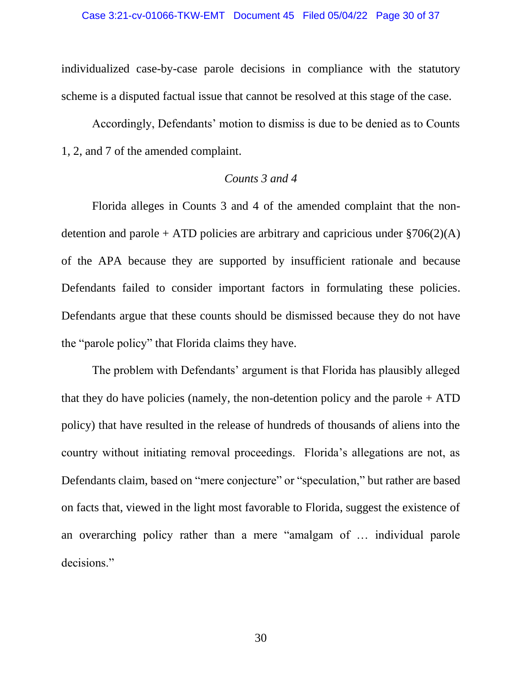individualized case-by-case parole decisions in compliance with the statutory scheme is a disputed factual issue that cannot be resolved at this stage of the case.

Accordingly, Defendants' motion to dismiss is due to be denied as to Counts 1, 2, and 7 of the amended complaint.

### *Counts 3 and 4*

Florida alleges in Counts 3 and 4 of the amended complaint that the nondetention and parole + ATD policies are arbitrary and capricious under  $\S706(2)(A)$ of the APA because they are supported by insufficient rationale and because Defendants failed to consider important factors in formulating these policies. Defendants argue that these counts should be dismissed because they do not have the "parole policy" that Florida claims they have.

The problem with Defendants' argument is that Florida has plausibly alleged that they do have policies (namely, the non-detention policy and the parole  $+$  ATD policy) that have resulted in the release of hundreds of thousands of aliens into the country without initiating removal proceedings. Florida's allegations are not, as Defendants claim, based on "mere conjecture" or "speculation," but rather are based on facts that, viewed in the light most favorable to Florida, suggest the existence of an overarching policy rather than a mere "amalgam of … individual parole decisions."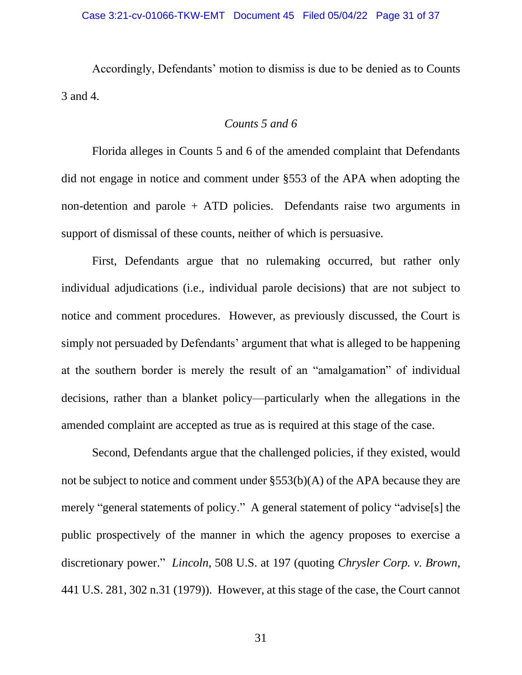Accordingly, Defendants' motion to dismiss is due to be denied as to Counts 3 and 4.

## *Counts 5 and 6*

Florida alleges in Counts 5 and 6 of the amended complaint that Defendants did not engage in notice and comment under §553 of the APA when adopting the non-detention and parole + ATD policies. Defendants raise two arguments in support of dismissal of these counts, neither of which is persuasive.

First, Defendants argue that no rulemaking occurred, but rather only individual adjudications (i.e., individual parole decisions) that are not subject to notice and comment procedures. However, as previously discussed, the Court is simply not persuaded by Defendants' argument that what is alleged to be happening at the southern border is merely the result of an "amalgamation" of individual decisions, rather than a blanket policy—particularly when the allegations in the amended complaint are accepted as true as is required at this stage of the case.

Second, Defendants argue that the challenged policies, if they existed, would not be subject to notice and comment under §553(b)(A) of the APA because they are merely "general statements of policy." A general statement of policy "advise[s] the public prospectively of the manner in which the agency proposes to exercise a discretionary power." *Lincoln*, 508 U.S. at 197 (quoting *Chrysler Corp. v. Brown*, 441 U.S. 281, 302 n.31 (1979)). However, at this stage of the case, the Court cannot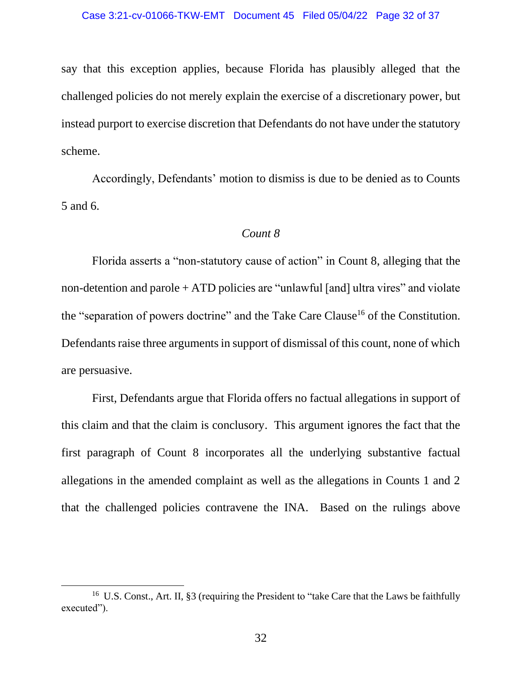say that this exception applies, because Florida has plausibly alleged that the challenged policies do not merely explain the exercise of a discretionary power, but instead purport to exercise discretion that Defendants do not have under the statutory scheme.

Accordingly, Defendants' motion to dismiss is due to be denied as to Counts 5 and 6.

### *Count 8*

Florida asserts a "non-statutory cause of action" in Count 8, alleging that the non-detention and parole + ATD policies are "unlawful [and] ultra vires" and violate the "separation of powers doctrine" and the Take Care Clause<sup>16</sup> of the Constitution. Defendants raise three arguments in support of dismissal of this count, none of which are persuasive.

First, Defendants argue that Florida offers no factual allegations in support of this claim and that the claim is conclusory. This argument ignores the fact that the first paragraph of Count 8 incorporates all the underlying substantive factual allegations in the amended complaint as well as the allegations in Counts 1 and 2 that the challenged policies contravene the INA. Based on the rulings above

<sup>&</sup>lt;sup>16</sup> U.S. Const., Art. II, §3 (requiring the President to "take Care that the Laws be faithfully executed").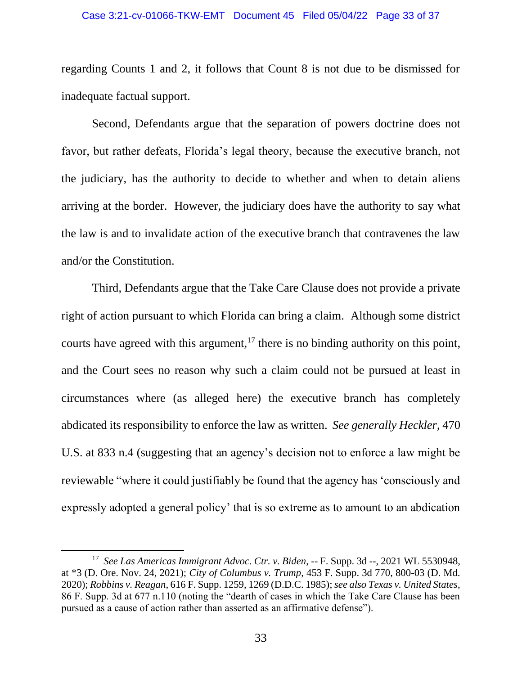regarding Counts 1 and 2, it follows that Count 8 is not due to be dismissed for inadequate factual support.

Second, Defendants argue that the separation of powers doctrine does not favor, but rather defeats, Florida's legal theory, because the executive branch, not the judiciary, has the authority to decide to whether and when to detain aliens arriving at the border. However, the judiciary does have the authority to say what the law is and to invalidate action of the executive branch that contravenes the law and/or the Constitution.

Third, Defendants argue that the Take Care Clause does not provide a private right of action pursuant to which Florida can bring a claim. Although some district courts have agreed with this argument, $17$  there is no binding authority on this point, and the Court sees no reason why such a claim could not be pursued at least in circumstances where (as alleged here) the executive branch has completely abdicated its responsibility to enforce the law as written. *See generally Heckler*, 470 U.S. at 833 n.4 (suggesting that an agency's decision not to enforce a law might be reviewable "where it could justifiably be found that the agency has 'consciously and expressly adopted a general policy' that is so extreme as to amount to an abdication

<sup>17</sup> *See Las Americas Immigrant Advoc. Ctr. v. Biden*, -- F. Supp. 3d --, 2021 WL 5530948, at \*3 (D. Ore. Nov. 24, 2021); *City of Columbus v. Trump*, 453 F. Supp. 3d 770, 800-03 (D. Md. 2020); *Robbins v. Reagan*, 616 F. Supp. 1259, 1269 (D.D.C. 1985); *see also Texas v. United States*, 86 F. Supp. 3d at 677 n.110 (noting the "dearth of cases in which the Take Care Clause has been pursued as a cause of action rather than asserted as an affirmative defense").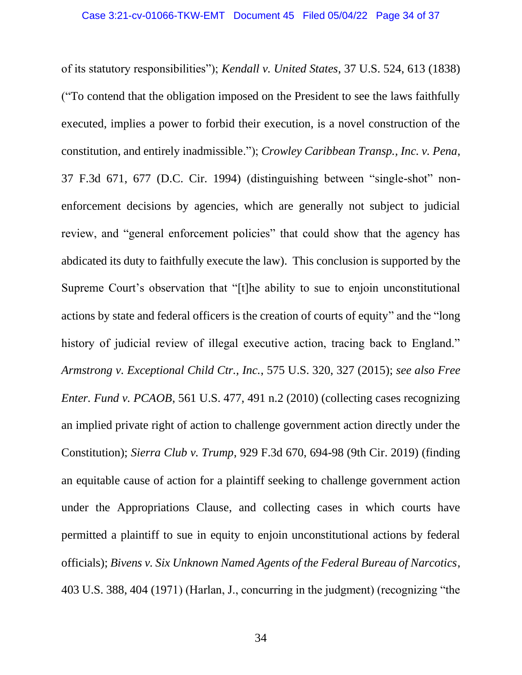of its statutory responsibilities"); *Kendall v. United States*, 37 U.S. 524, 613 (1838) ("To contend that the obligation imposed on the President to see the laws faithfully executed, implies a power to forbid their execution, is a novel construction of the constitution, and entirely inadmissible."); *Crowley Caribbean Transp., Inc. v. Pena*, 37 F.3d 671, 677 (D.C. Cir. 1994) (distinguishing between "single-shot" nonenforcement decisions by agencies, which are generally not subject to judicial review, and "general enforcement policies" that could show that the agency has abdicated its duty to faithfully execute the law). This conclusion is supported by the Supreme Court's observation that "[t]he ability to sue to enjoin unconstitutional actions by state and federal officers is the creation of courts of equity" and the "long history of judicial review of illegal executive action, tracing back to England." *Armstrong v. Exceptional Child Ctr., Inc.*, 575 U.S. 320, 327 (2015); *see also Free Enter. Fund v. PCAOB*, 561 U.S. 477, 491 n.2 (2010) (collecting cases recognizing an implied private right of action to challenge government action directly under the Constitution); *Sierra Club v. Trump*, 929 F.3d 670, 694-98 (9th Cir. 2019) (finding an equitable cause of action for a plaintiff seeking to challenge government action under the Appropriations Clause, and collecting cases in which courts have permitted a plaintiff to sue in equity to enjoin unconstitutional actions by federal officials); *Bivens v. Six Unknown Named Agents of the Federal Bureau of Narcotics*, 403 U.S. 388, 404 (1971) (Harlan, J., concurring in the judgment) (recognizing "the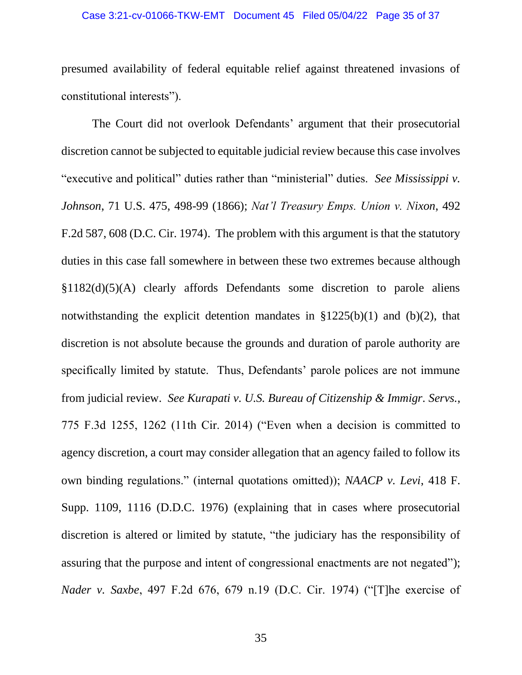presumed availability of federal equitable relief against threatened invasions of constitutional interests").

The Court did not overlook Defendants' argument that their prosecutorial discretion cannot be subjected to equitable judicial review because this case involves "executive and political" duties rather than "ministerial" duties. *See Mississippi v. Johnson*, 71 U.S. 475, 498-99 (1866); *Nat'l Treasury Emps. Union v. Nixon*, 492 F.2d 587, 608 (D.C. Cir. 1974). The problem with this argument is that the statutory duties in this case fall somewhere in between these two extremes because although §1182(d)(5)(A) clearly affords Defendants some discretion to parole aliens notwithstanding the explicit detention mandates in  $$1225(b)(1)$  and  $(b)(2)$ , that discretion is not absolute because the grounds and duration of parole authority are specifically limited by statute. Thus, Defendants' parole polices are not immune from judicial review. *See Kurapati v. U.S. Bureau of Citizenship & Immigr. Servs.*, 775 F.3d 1255, 1262 (11th Cir. 2014) ("Even when a decision is committed to agency discretion, a court may consider allegation that an agency failed to follow its own binding regulations." (internal quotations omitted)); *NAACP v. Levi*, 418 F. Supp. 1109, 1116 (D.D.C. 1976) (explaining that in cases where prosecutorial discretion is altered or limited by statute, "the judiciary has the responsibility of assuring that the purpose and intent of congressional enactments are not negated"); *Nader v. Saxbe*, 497 F.2d 676, 679 n.19 (D.C. Cir. 1974) ("[T]he exercise of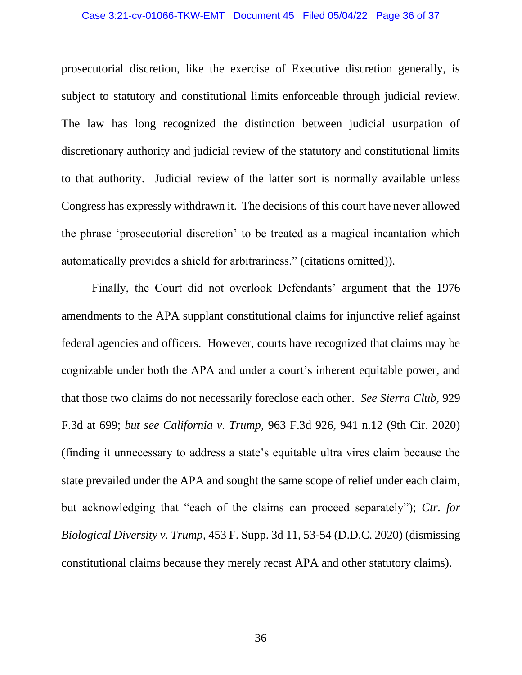#### Case 3:21-cv-01066-TKW-EMT Document 45 Filed 05/04/22 Page 36 of 37

prosecutorial discretion, like the exercise of Executive discretion generally, is subject to statutory and constitutional limits enforceable through judicial review. The law has long recognized the distinction between judicial usurpation of discretionary authority and judicial review of the statutory and constitutional limits to that authority. Judicial review of the latter sort is normally available unless Congress has expressly withdrawn it. The decisions of this court have never allowed the phrase 'prosecutorial discretion' to be treated as a magical incantation which automatically provides a shield for arbitrariness." (citations omitted)).

Finally, the Court did not overlook Defendants' argument that the 1976 amendments to the APA supplant constitutional claims for injunctive relief against federal agencies and officers. However, courts have recognized that claims may be cognizable under both the APA and under a court's inherent equitable power, and that those two claims do not necessarily foreclose each other. *See Sierra Club*, 929 F.3d at 699; *but see California v. Trump*, 963 F.3d 926, 941 n.12 (9th Cir. 2020) (finding it unnecessary to address a state's equitable ultra vires claim because the state prevailed under the APA and sought the same scope of relief under each claim, but acknowledging that "each of the claims can proceed separately"); *Ctr. for Biological Diversity v. Trump*, 453 F. Supp. 3d 11, 53-54 (D.D.C. 2020) (dismissing constitutional claims because they merely recast APA and other statutory claims).